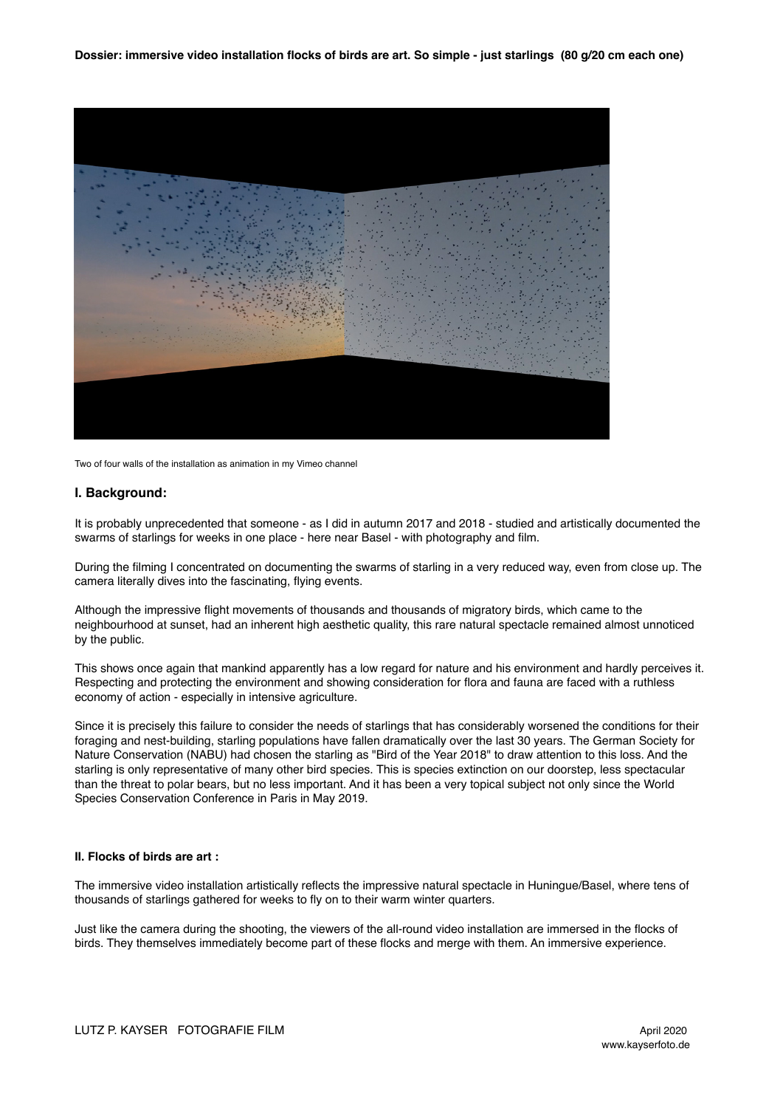

Two of four walls of the installation as animation in my Vimeo channel

## **I. Background:**

It is probably unprecedented that someone - as I did in autumn 2017 and 2018 - studied and artistically documented the swarms of starlings for weeks in one place - here near Basel - with photography and film.

During the filming I concentrated on documenting the swarms of starling in a very reduced way, even from close up. The camera literally dives into the fascinating, flying events.

Although the impressive flight movements of thousands and thousands of migratory birds, which came to the neighbourhood at sunset, had an inherent high aesthetic quality, this rare natural spectacle remained almost unnoticed by the public.

This shows once again that mankind apparently has a low regard for nature and his environment and hardly perceives it. Respecting and protecting the environment and showing consideration for flora and fauna are faced with a ruthless economy of action - especially in intensive agriculture.

Since it is precisely this failure to consider the needs of starlings that has considerably worsened the conditions for their foraging and nest-building, starling populations have fallen dramatically over the last 30 years. The German Society for Nature Conservation (NABU) had chosen the starling as "Bird of the Year 2018" to draw attention to this loss. And the starling is only representative of many other bird species. This is species extinction on our doorstep, less spectacular than the threat to polar bears, but no less important. And it has been a very topical subject not only since the World Species Conservation Conference in Paris in May 2019.

## **II. Flocks of birds are art :**

The immersive video installation artistically reflects the impressive natural spectacle in Huningue/Basel, where tens of thousands of starlings gathered for weeks to fly on to their warm winter quarters.

Just like the camera during the shooting, the viewers of the all-round video installation are immersed in the flocks of birds. They themselves immediately become part of these flocks and merge with them. An immersive experience.